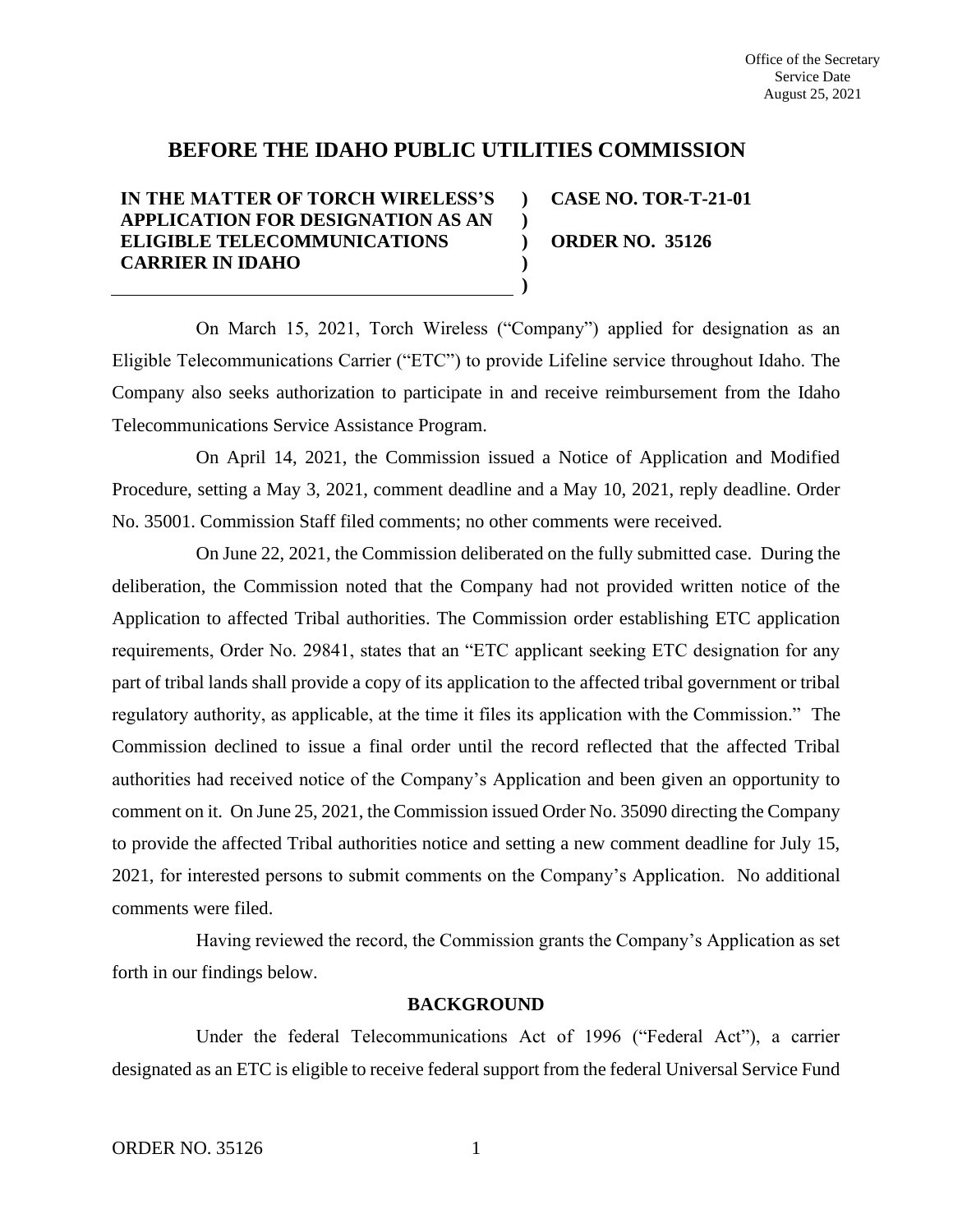# **BEFORE THE IDAHO PUBLIC UTILITIES COMMISSION**

**) )**

**) )**

# **IN THE MATTER OF TORCH WIRELESS'S APPLICATION FOR DESIGNATION AS AN ELIGIBLE TELECOMMUNICATIONS CARRIER IN IDAHO**

**) CASE NO. TOR-T-21-01 ORDER NO. 35126**

On March 15, 2021, Torch Wireless ("Company") applied for designation as an Eligible Telecommunications Carrier ("ETC") to provide Lifeline service throughout Idaho. The Company also seeks authorization to participate in and receive reimbursement from the Idaho Telecommunications Service Assistance Program.

On April 14, 2021, the Commission issued a Notice of Application and Modified Procedure, setting a May 3, 2021, comment deadline and a May 10, 2021, reply deadline. Order No. 35001. Commission Staff filed comments; no other comments were received.

On June 22, 2021, the Commission deliberated on the fully submitted case. During the deliberation, the Commission noted that the Company had not provided written notice of the Application to affected Tribal authorities. The Commission order establishing ETC application requirements, Order No. 29841, states that an "ETC applicant seeking ETC designation for any part of tribal lands shall provide a copy of its application to the affected tribal government or tribal regulatory authority, as applicable, at the time it files its application with the Commission." The Commission declined to issue a final order until the record reflected that the affected Tribal authorities had received notice of the Company's Application and been given an opportunity to comment on it. On June 25, 2021, the Commission issued Order No. 35090 directing the Company to provide the affected Tribal authorities notice and setting a new comment deadline for July 15, 2021, for interested persons to submit comments on the Company's Application. No additional comments were filed.

Having reviewed the record, the Commission grants the Company's Application as set forth in our findings below.

## **BACKGROUND**

Under the federal Telecommunications Act of 1996 ("Federal Act"), a carrier designated as an ETC is eligible to receive federal support from the federal Universal Service Fund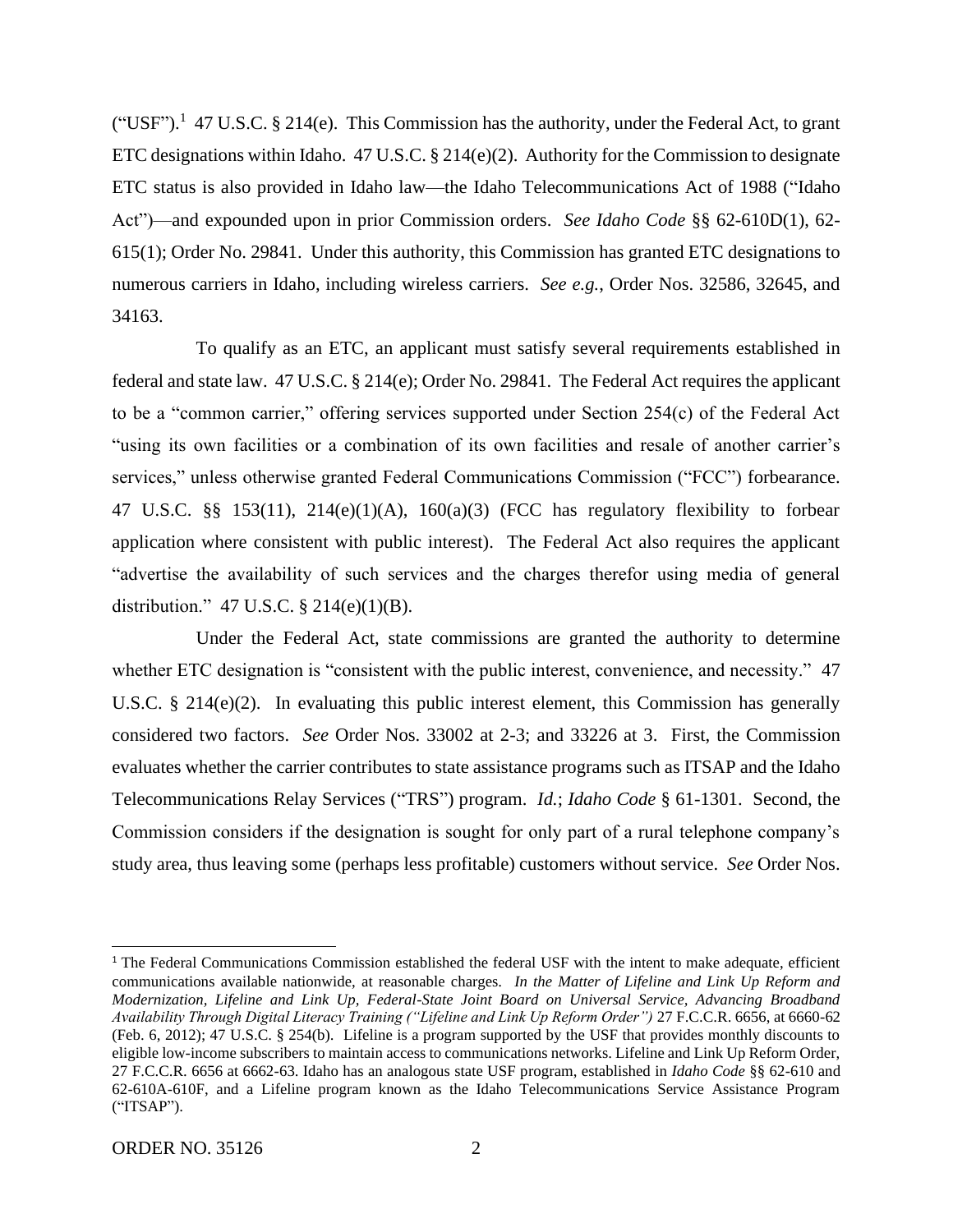("USF").<sup>1</sup> 47 U.S.C. § 214(e). This Commission has the authority, under the Federal Act, to grant ETC designations within Idaho.  $47 \text{ U.S.C.}$  §  $214(e)(2)$ . Authority for the Commission to designate ETC status is also provided in Idaho law—the Idaho Telecommunications Act of 1988 ("Idaho Act")—and expounded upon in prior Commission orders. *See Idaho Code* §§ 62-610D(1), 62- 615(1); Order No. 29841. Under this authority, this Commission has granted ETC designations to numerous carriers in Idaho, including wireless carriers. *See e.g.*, Order Nos. 32586, 32645, and 34163.

To qualify as an ETC, an applicant must satisfy several requirements established in federal and state law. 47 U.S.C. § 214(e); Order No. 29841. The Federal Act requires the applicant to be a "common carrier," offering services supported under Section 254(c) of the Federal Act "using its own facilities or a combination of its own facilities and resale of another carrier's services," unless otherwise granted Federal Communications Commission ("FCC") forbearance. 47 U.S.C. §§ 153(11), 214(e)(1)(A), 160(a)(3) (FCC has regulatory flexibility to forbear application where consistent with public interest). The Federal Act also requires the applicant "advertise the availability of such services and the charges therefor using media of general distribution." 47 U.S.C.  $\S$  214(e)(1)(B).

Under the Federal Act, state commissions are granted the authority to determine whether ETC designation is "consistent with the public interest, convenience, and necessity." 47 U.S.C.  $\S$  214(e)(2). In evaluating this public interest element, this Commission has generally considered two factors. *See* Order Nos. 33002 at 2-3; and 33226 at 3. First, the Commission evaluates whether the carrier contributes to state assistance programs such as ITSAP and the Idaho Telecommunications Relay Services ("TRS") program. *Id.*; *Idaho Code* § 61-1301. Second, the Commission considers if the designation is sought for only part of a rural telephone company's study area, thus leaving some (perhaps less profitable) customers without service. *See* Order Nos.

<sup>&</sup>lt;sup>1</sup> The Federal Communications Commission established the federal USF with the intent to make adequate, efficient communications available nationwide, at reasonable charges. *In the Matter of Lifeline and Link Up Reform and Modernization, Lifeline and Link Up, Federal-State Joint Board on Universal Service, Advancing Broadband Availability Through Digital Literacy Training ("Lifeline and Link Up Reform Order")* 27 F.C.C.R. 6656, at 6660-62 (Feb. 6, 2012); 47 U.S.C. § 254(b). Lifeline is a program supported by the USF that provides monthly discounts to eligible low-income subscribers to maintain access to communications networks. Lifeline and Link Up Reform Order, 27 F.C.C.R. 6656 at 6662-63. Idaho has an analogous state USF program, established in *Idaho Code* §§ 62-610 and 62-610A-610F, and a Lifeline program known as the Idaho Telecommunications Service Assistance Program ("ITSAP").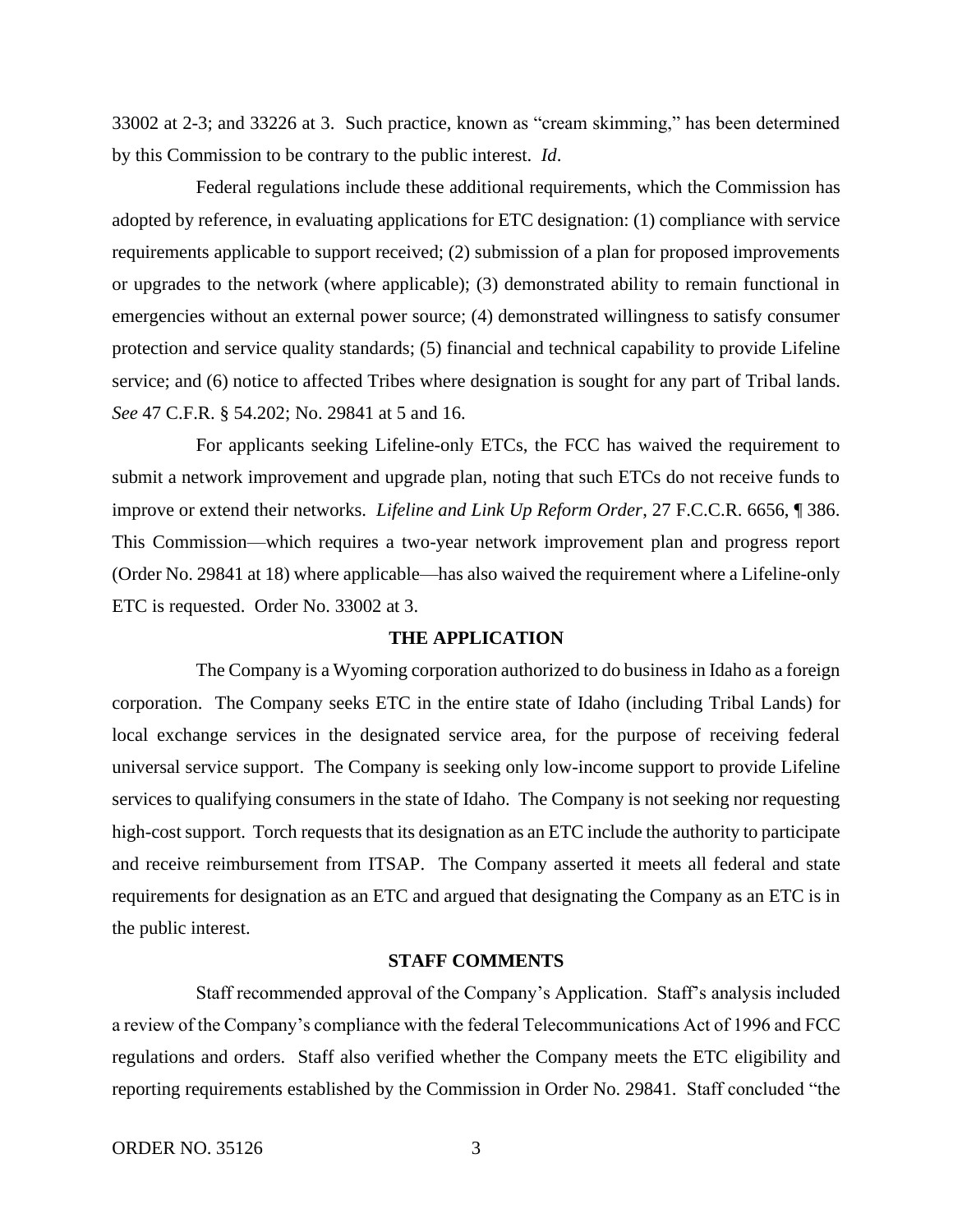33002 at 2-3; and 33226 at 3. Such practice, known as "cream skimming," has been determined by this Commission to be contrary to the public interest. *Id*.

Federal regulations include these additional requirements, which the Commission has adopted by reference, in evaluating applications for ETC designation: (1) compliance with service requirements applicable to support received; (2) submission of a plan for proposed improvements or upgrades to the network (where applicable); (3) demonstrated ability to remain functional in emergencies without an external power source; (4) demonstrated willingness to satisfy consumer protection and service quality standards; (5) financial and technical capability to provide Lifeline service; and (6) notice to affected Tribes where designation is sought for any part of Tribal lands. *See* 47 C.F.R. § 54.202; No. 29841 at 5 and 16.

For applicants seeking Lifeline-only ETCs, the FCC has waived the requirement to submit a network improvement and upgrade plan, noting that such ETCs do not receive funds to improve or extend their networks. *Lifeline and Link Up Reform Order*, 27 F.C.C.R. 6656, ¶ 386. This Commission—which requires a two-year network improvement plan and progress report (Order No. 29841 at 18) where applicable—has also waived the requirement where a Lifeline-only ETC is requested. Order No. 33002 at 3.

#### **THE APPLICATION**

The Company is a Wyoming corporation authorized to do business in Idaho as a foreign corporation. The Company seeks ETC in the entire state of Idaho (including Tribal Lands) for local exchange services in the designated service area, for the purpose of receiving federal universal service support. The Company is seeking only low-income support to provide Lifeline services to qualifying consumers in the state of Idaho. The Company is not seeking nor requesting high-cost support. Torch requests that its designation as an ETC include the authority to participate and receive reimbursement from ITSAP. The Company asserted it meets all federal and state requirements for designation as an ETC and argued that designating the Company as an ETC is in the public interest.

### **STAFF COMMENTS**

Staff recommended approval of the Company's Application. Staff's analysis included a review of the Company's compliance with the federal Telecommunications Act of 1996 and FCC regulations and orders. Staff also verified whether the Company meets the ETC eligibility and reporting requirements established by the Commission in Order No. 29841. Staff concluded "the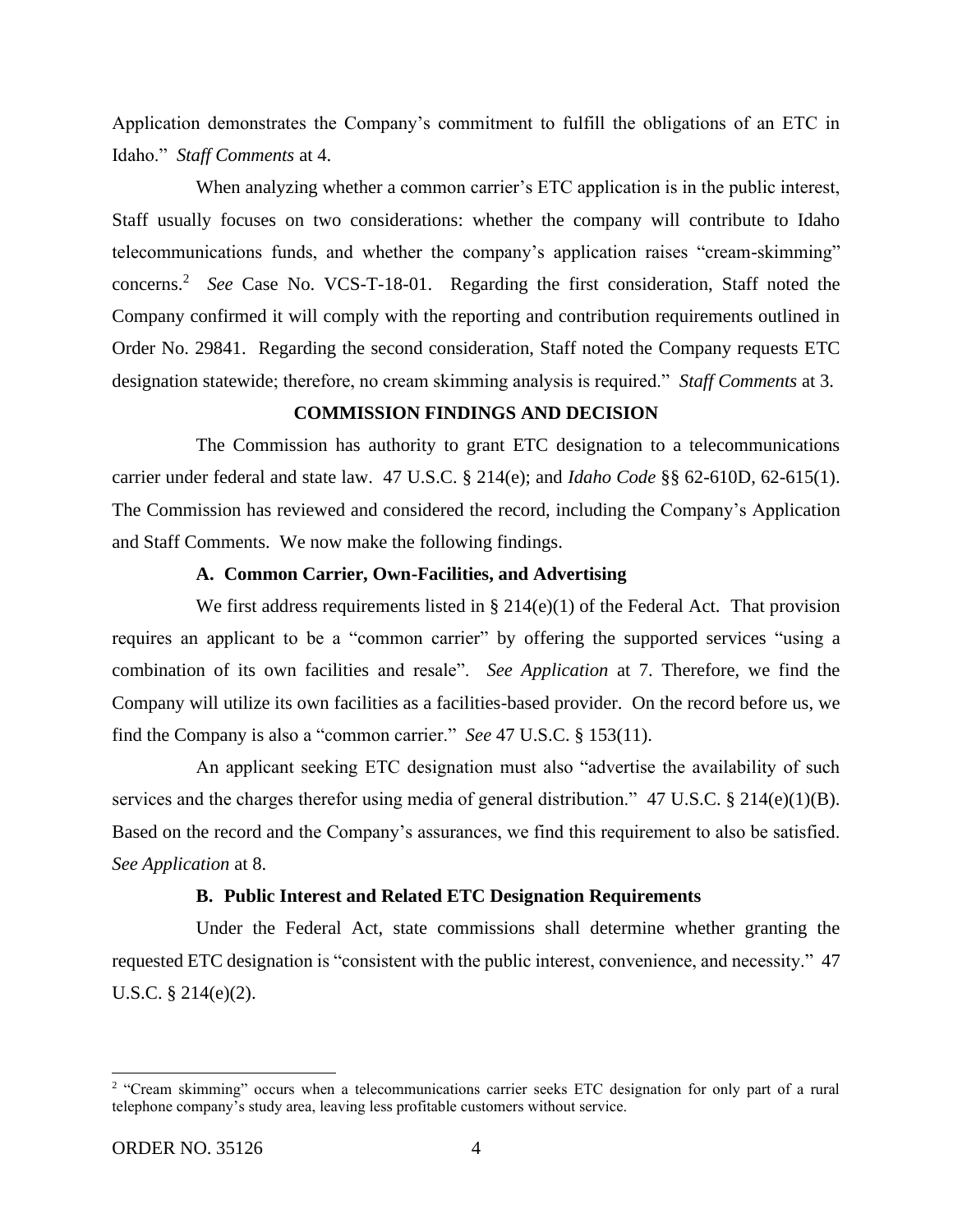Application demonstrates the Company's commitment to fulfill the obligations of an ETC in Idaho." *Staff Comments* at 4.

When analyzing whether a common carrier's ETC application is in the public interest, Staff usually focuses on two considerations: whether the company will contribute to Idaho telecommunications funds, and whether the company's application raises "cream-skimming" concerns.<sup>2</sup> *See* Case No. VCS-T-18-01. Regarding the first consideration, Staff noted the Company confirmed it will comply with the reporting and contribution requirements outlined in Order No. 29841. Regarding the second consideration, Staff noted the Company requests ETC designation statewide; therefore, no cream skimming analysis is required." *Staff Comments* at 3.

# **COMMISSION FINDINGS AND DECISION**

The Commission has authority to grant ETC designation to a telecommunications carrier under federal and state law. 47 U.S.C. § 214(e); and *Idaho Code* §§ 62-610D, 62-615(1). The Commission has reviewed and considered the record, including the Company's Application and Staff Comments. We now make the following findings.

# **A. Common Carrier, Own-Facilities, and Advertising**

We first address requirements listed in  $\S 214(e)(1)$  of the Federal Act. That provision requires an applicant to be a "common carrier" by offering the supported services "using a combination of its own facilities and resale". *See Application* at 7. Therefore, we find the Company will utilize its own facilities as a facilities-based provider. On the record before us, we find the Company is also a "common carrier." *See* 47 U.S.C. § 153(11).

An applicant seeking ETC designation must also "advertise the availability of such services and the charges therefor using media of general distribution." 47 U.S.C. § 214(e)(1)(B). Based on the record and the Company's assurances, we find this requirement to also be satisfied. *See Application* at 8.

### **B. Public Interest and Related ETC Designation Requirements**

Under the Federal Act, state commissions shall determine whether granting the requested ETC designation is "consistent with the public interest, convenience, and necessity." 47 U.S.C. § 214(e)(2).

<sup>&</sup>lt;sup>2</sup> "Cream skimming" occurs when a telecommunications carrier seeks ETC designation for only part of a rural telephone company's study area, leaving less profitable customers without service.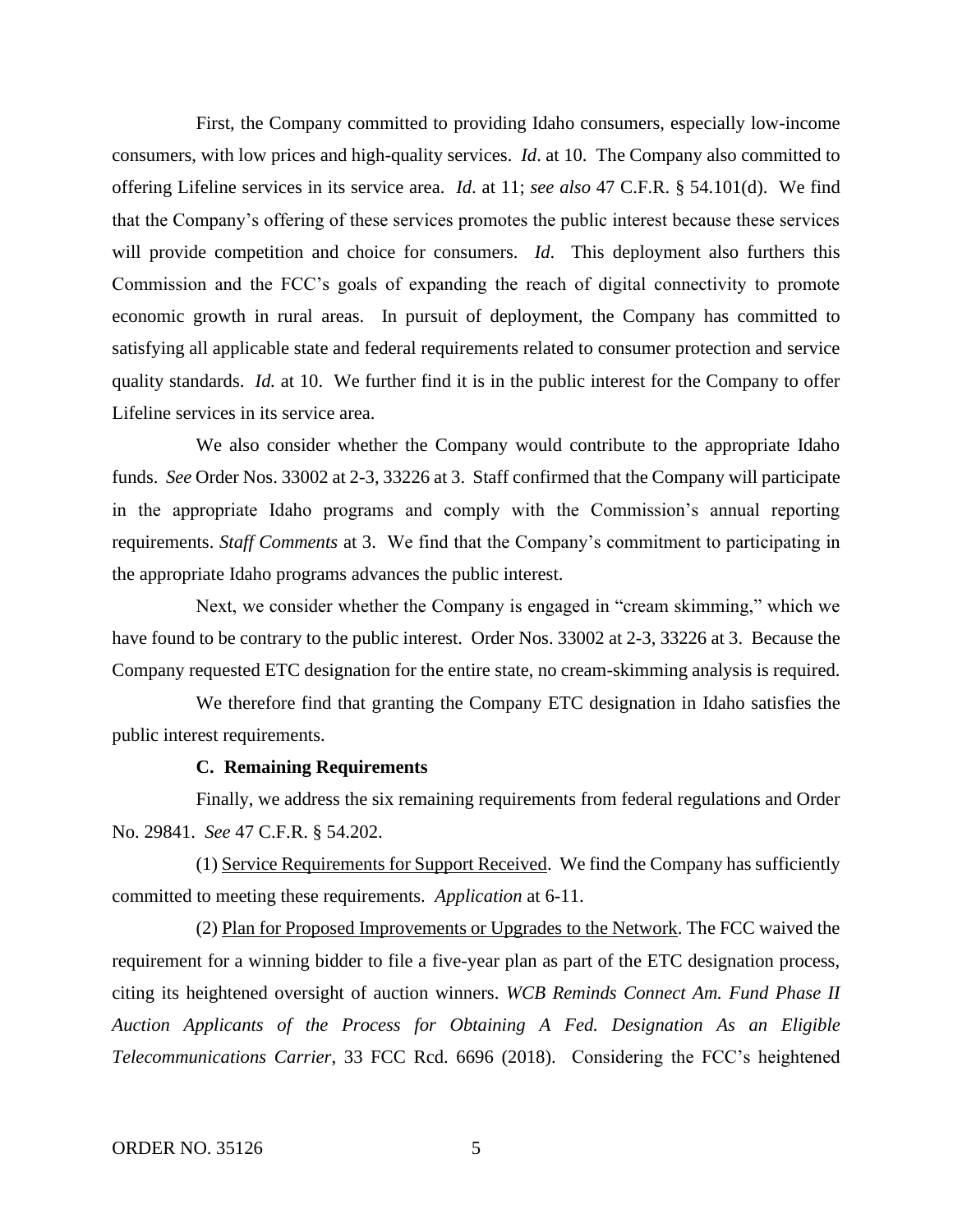First, the Company committed to providing Idaho consumers, especially low-income consumers, with low prices and high-quality services. *Id*. at 10. The Company also committed to offering Lifeline services in its service area. *Id*. at 11; *see also* 47 C.F.R. § 54.101(d). We find that the Company's offering of these services promotes the public interest because these services will provide competition and choice for consumers. *Id*. This deployment also furthers this Commission and the FCC's goals of expanding the reach of digital connectivity to promote economic growth in rural areas. In pursuit of deployment, the Company has committed to satisfying all applicable state and federal requirements related to consumer protection and service quality standards. *Id.* at 10. We further find it is in the public interest for the Company to offer Lifeline services in its service area.

We also consider whether the Company would contribute to the appropriate Idaho funds. *See* Order Nos. 33002 at 2-3, 33226 at 3. Staff confirmed that the Company will participate in the appropriate Idaho programs and comply with the Commission's annual reporting requirements. *Staff Comments* at 3. We find that the Company's commitment to participating in the appropriate Idaho programs advances the public interest.

Next, we consider whether the Company is engaged in "cream skimming," which we have found to be contrary to the public interest. Order Nos. 33002 at 2-3, 33226 at 3. Because the Company requested ETC designation for the entire state, no cream-skimming analysis is required.

We therefore find that granting the Company ETC designation in Idaho satisfies the public interest requirements.

### **C. Remaining Requirements**

Finally, we address the six remaining requirements from federal regulations and Order No. 29841. *See* 47 C.F.R. § 54.202.

(1) Service Requirements for Support Received. We find the Company has sufficiently committed to meeting these requirements. *Application* at 6-11.

(2) Plan for Proposed Improvements or Upgrades to the Network. The FCC waived the requirement for a winning bidder to file a five-year plan as part of the ETC designation process, citing its heightened oversight of auction winners. *WCB Reminds Connect Am. Fund Phase II Auction Applicants of the Process for Obtaining A Fed. Designation As an Eligible Telecommunications Carrier*, 33 FCC Rcd. 6696 (2018). Considering the FCC's heightened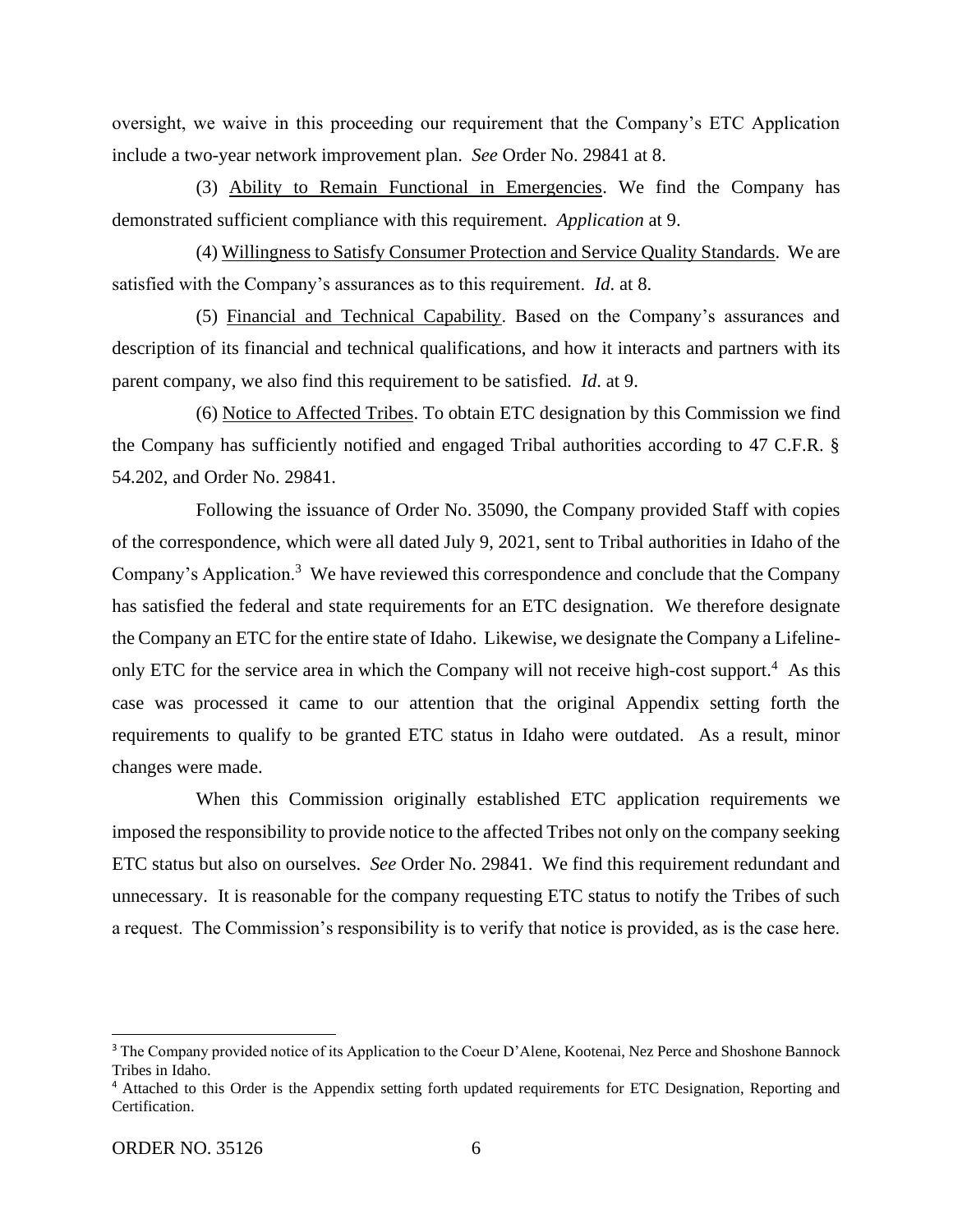oversight, we waive in this proceeding our requirement that the Company's ETC Application include a two-year network improvement plan. *See* Order No. 29841 at 8.

(3) Ability to Remain Functional in Emergencies. We find the Company has demonstrated sufficient compliance with this requirement. *Application* at 9.

(4) Willingness to Satisfy Consumer Protection and Service Quality Standards. We are satisfied with the Company's assurances as to this requirement. *Id*. at 8.

(5) Financial and Technical Capability. Based on the Company's assurances and description of its financial and technical qualifications, and how it interacts and partners with its parent company, we also find this requirement to be satisfied. *Id*. at 9.

(6) Notice to Affected Tribes. To obtain ETC designation by this Commission we find the Company has sufficiently notified and engaged Tribal authorities according to 47 C.F.R. § 54.202, and Order No. 29841.

Following the issuance of Order No. 35090, the Company provided Staff with copies of the correspondence, which were all dated July 9, 2021, sent to Tribal authorities in Idaho of the Company's Application.<sup>3</sup> We have reviewed this correspondence and conclude that the Company has satisfied the federal and state requirements for an ETC designation. We therefore designate the Company an ETC for the entire state of Idaho. Likewise, we designate the Company a Lifelineonly ETC for the service area in which the Company will not receive high-cost support.<sup>4</sup> As this case was processed it came to our attention that the original Appendix setting forth the requirements to qualify to be granted ETC status in Idaho were outdated. As a result, minor changes were made.

When this Commission originally established ETC application requirements we imposed the responsibility to provide notice to the affected Tribes not only on the company seeking ETC status but also on ourselves. *See* Order No. 29841. We find this requirement redundant and unnecessary. It is reasonable for the company requesting ETC status to notify the Tribes of such a request. The Commission's responsibility is to verify that notice is provided, as is the case here.

<sup>&</sup>lt;sup>3</sup> The Company provided notice of its Application to the Coeur D'Alene, Kootenai, Nez Perce and Shoshone Bannock Tribes in Idaho.

<sup>4</sup> Attached to this Order is the Appendix setting forth updated requirements for ETC Designation, Reporting and Certification.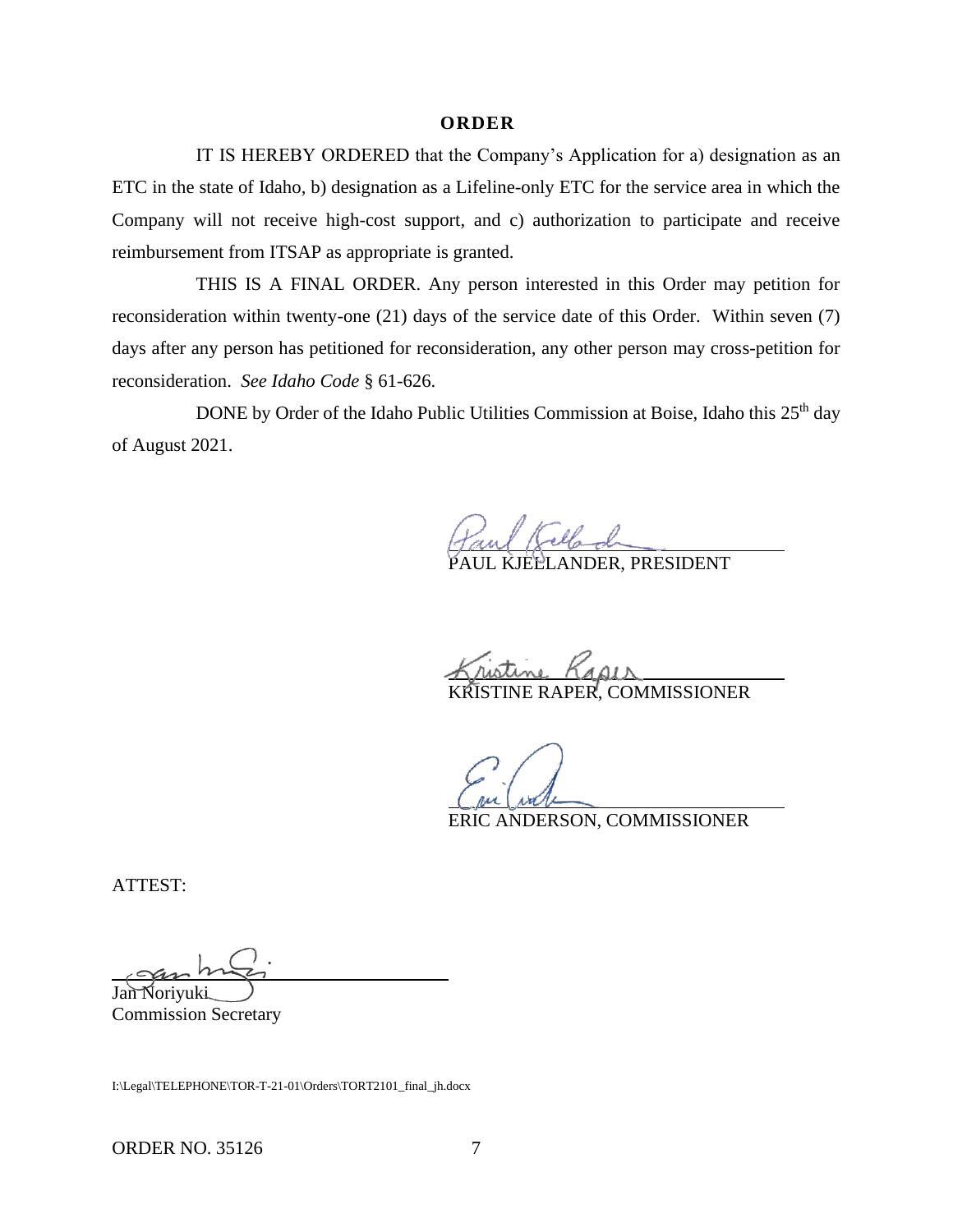### **O R D E R**

IT IS HEREBY ORDERED that the Company's Application for a) designation as an ETC in the state of Idaho, b) designation as a Lifeline-only ETC for the service area in which the Company will not receive high-cost support, and c) authorization to participate and receive reimbursement from ITSAP as appropriate is granted.

THIS IS A FINAL ORDER. Any person interested in this Order may petition for reconsideration within twenty-one (21) days of the service date of this Order. Within seven (7) days after any person has petitioned for reconsideration, any other person may cross-petition for reconsideration. *See Idaho Code* § 61-626.

DONE by Order of the Idaho Public Utilities Commission at Boise, Idaho this 25<sup>th</sup> day of August 2021.

PAUL KJELLANDER, PRESIDENT

tine *Kap*ii<br>INE RAPER, COMMISSIONER

ERIC ANDERSON, COMMISSIONER

ATTEST:

Jan Noriyuki Commission Secretary

I:\Legal\TELEPHONE\TOR-T-21-01\Orders\TORT2101\_final\_jh.docx

ORDER NO. 35126 7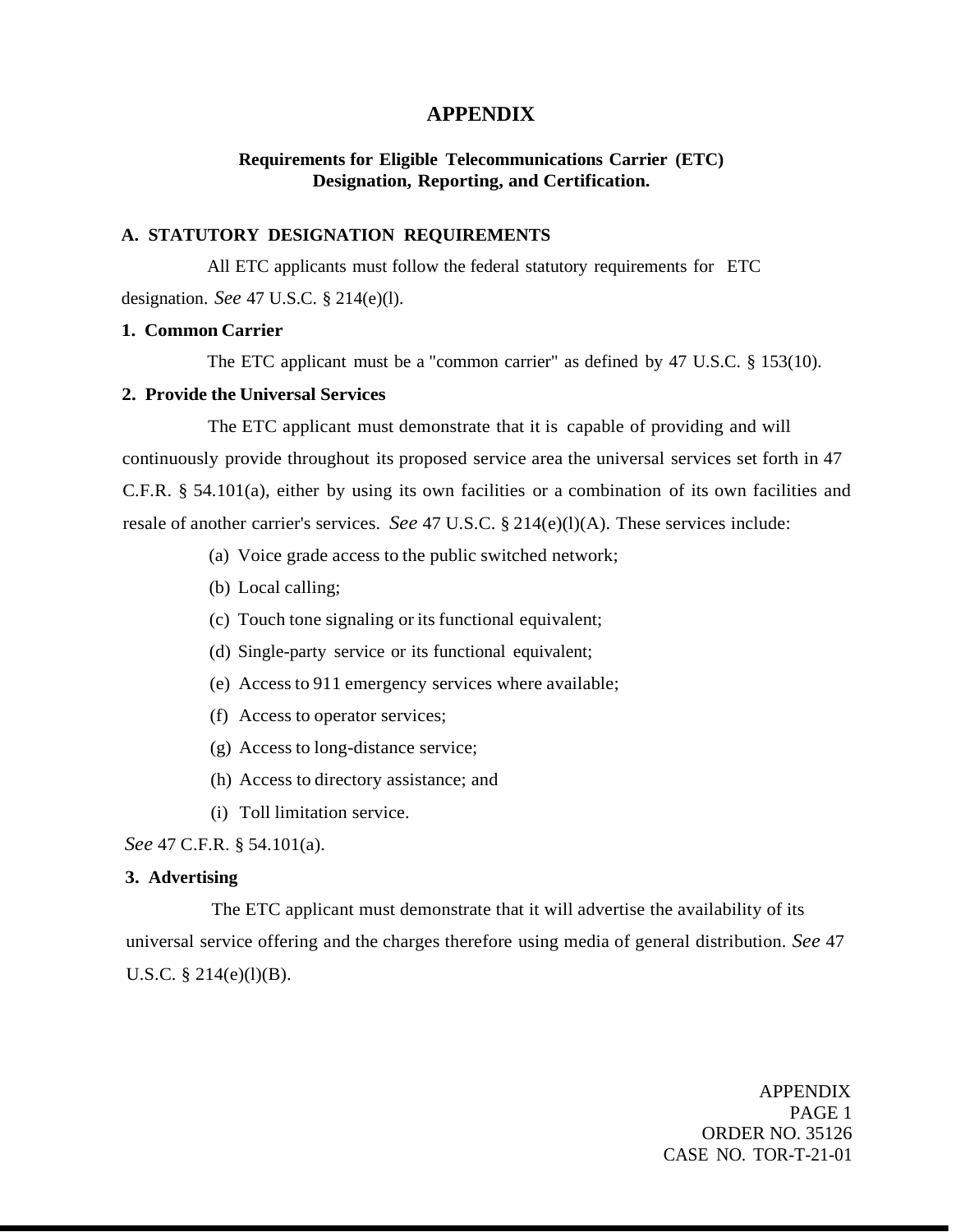# **APPENDIX**

# **Requirements for Eligible Telecommunications Carrier (ETC) Designation, Reporting, and Certification.**

## **A. STATUTORY DESIGNATION REQUIREMENTS**

All ETC applicants must follow the federal statutory requirements for ETC designation. *See* 47 U.S.C. § 214(e)(l).

## **1. Common Carrier**

The ETC applicant must be a "common carrier" as defined by 47 U.S.C. § 153(10).

## **2. Provide the Universal Services**

The ETC applicant must demonstrate that it is capable of providing and will continuously provide throughout its proposed service area the universal services set forth in 47 C.F.R. § 54.101(a), either by using its own facilities or a combination of its own facilities and resale of another carrier's services. *See* 47 U.S.C. § 214(e)(l)(A). These services include:

- (a) Voice grade access to the public switched network;
- (b) Local calling;
- (c) Touch tone signaling or its functional equivalent;
- (d) Single-party service or its functional equivalent;
- (e) Access to 911 emergency services where available;
- (f) Access to operator services;
- (g) Access to long-distance service;
- (h) Access to directory assistance; and
- (i) Toll limitation service.

*See* 47 C.F.R. § 54.101(a).

### **3. Advertising**

The ETC applicant must demonstrate that it will advertise the availability of its universal service offering and the charges therefore using media of general distribution. *See* 47 U.S.C. § 214(e)(l)(B).

> APPENDIX PAGE 1 ORDER NO. 35126 CASE NO. TOR-T-21-01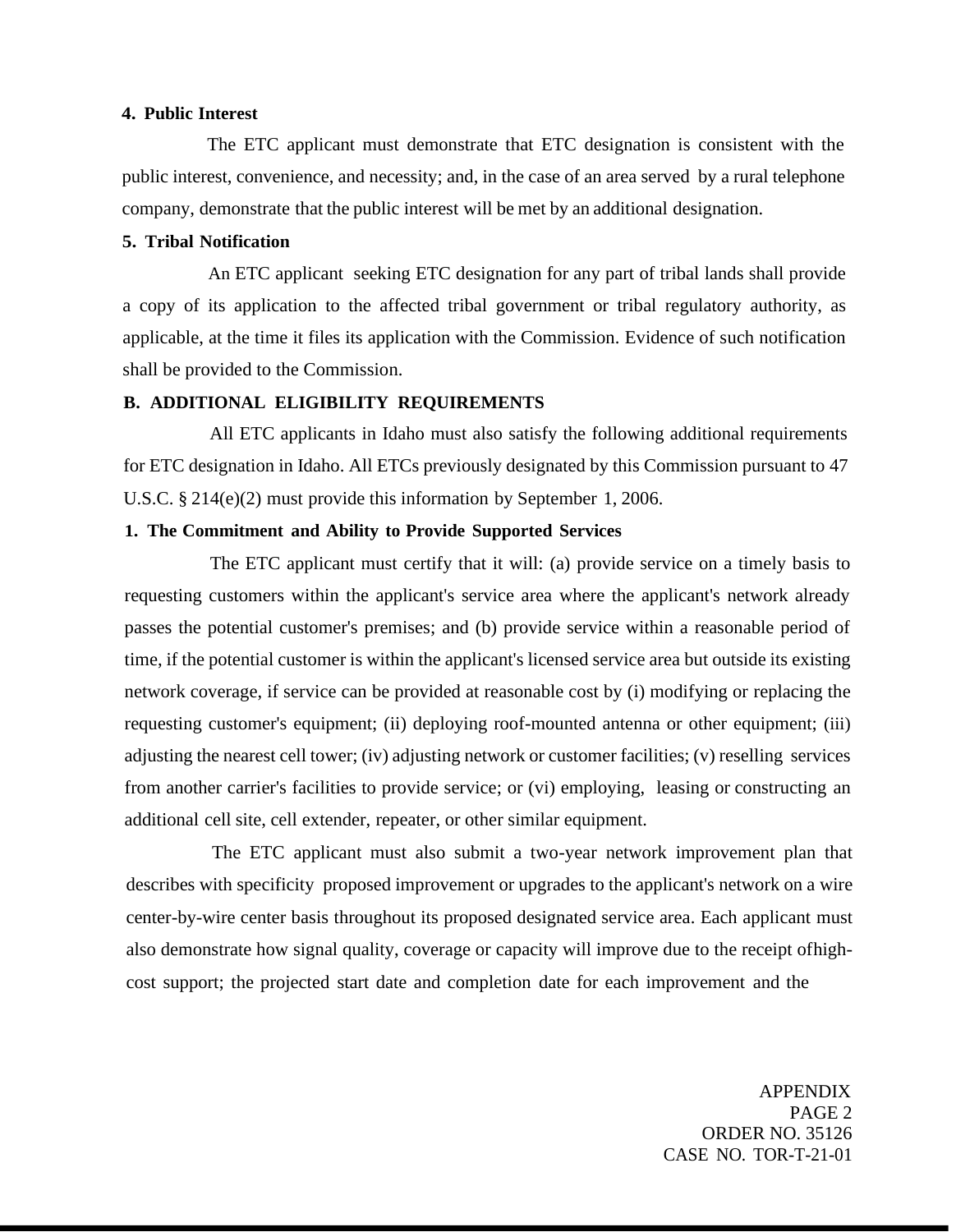# **4. Public Interest**

The ETC applicant must demonstrate that ETC designation is consistent with the public interest, convenience, and necessity; and, in the case of an area served by a rural telephone company, demonstrate that the public interest will be met by an additional designation.

# **5. Tribal Notification**

An ETC applicant seeking ETC designation for any part of tribal lands shall provide a copy of its application to the affected tribal government or tribal regulatory authority, as applicable, at the time it files its application with the Commission. Evidence of such notification shall be provided to the Commission.

### **B. ADDITIONAL ELIGIBILITY REQUIREMENTS**

All ETC applicants in Idaho must also satisfy the following additional requirements for ETC designation in Idaho. All ETCs previously designated by this Commission pursuant to 47 U.S.C. § 214(e)(2) must provide this information by September 1, 2006.

### **1. The Commitment and Ability to Provide Supported Services**

The ETC applicant must certify that it will: (a) provide service on a timely basis to requesting customers within the applicant's service area where the applicant's network already passes the potential customer's premises; and (b) provide service within a reasonable period of time, if the potential customer is within the applicant's licensed service area but outside its existing network coverage, if service can be provided at reasonable cost by (i) modifying or replacing the requesting customer's equipment; (ii) deploying roof-mounted antenna or other equipment; (iii) adjusting the nearest cell tower; (iv) adjusting network or customer facilities; (v) reselling services from another carrier's facilities to provide service; or (vi) employing, leasing or constructing an additional cell site, cell extender, repeater, or other similar equipment.

The ETC applicant must also submit a two-year network improvement plan that describes with specificity proposed improvement or upgrades to the applicant's network on a wire center-by-wire center basis throughout its proposed designated service area. Each applicant must also demonstrate how signal quality, coverage or capacity will improve due to the receipt ofhighcost support; the projected start date and completion date for each improvement and the

> APPENDIX PAGE 2 ORDER NO. 35126 CASE NO. TOR-T-21-01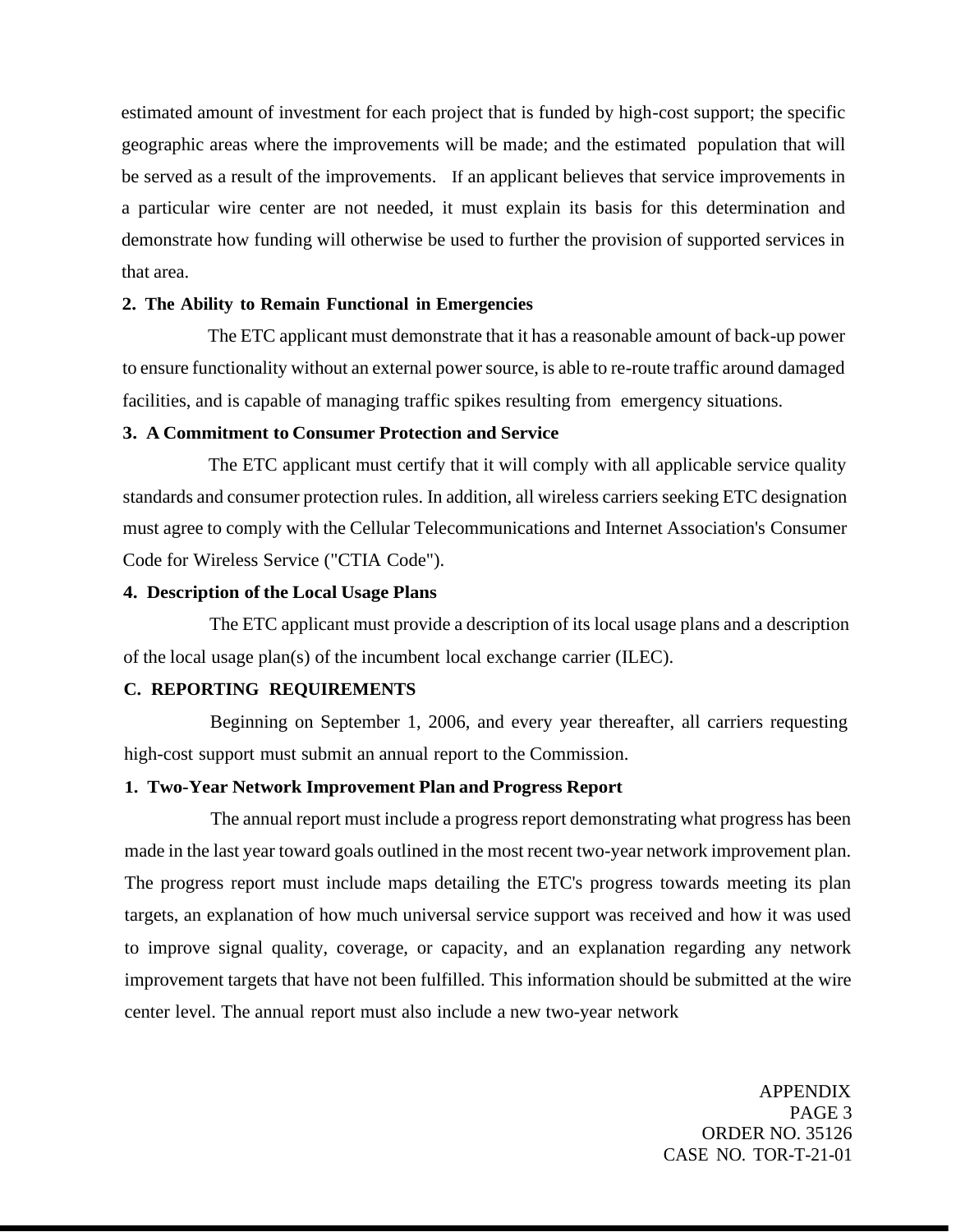estimated amount of investment for each project that is funded by high-cost support; the specific geographic areas where the improvements will be made; and the estimated population that will be served as a result of the improvements. If an applicant believes that service improvements in a particular wire center are not needed, it must explain its basis for this determination and demonstrate how funding will otherwise be used to further the provision of supported services in that area.

### **2. The Ability to Remain Functional in Emergencies**

The ETC applicant must demonstrate that it has a reasonable amount of back-up power to ensure functionality without an external power source, is able to re-route traffic around damaged facilities, and is capable of managing traffic spikes resulting from emergency situations.

# **3. A Commitment to Consumer Protection and Service**

The ETC applicant must certify that it will comply with all applicable service quality standards and consumer protection rules. In addition, all wireless carriers seeking ETC designation must agree to comply with the Cellular Telecommunications and Internet Association's Consumer Code for Wireless Service ("CTIA Code").

# **4. Description of the Local Usage Plans**

The ETC applicant must provide a description of its local usage plans and a description of the local usage plan(s) of the incumbent local exchange carrier (ILEC).

## **C. REPORTING REQUIREMENTS**

Beginning on September 1, 2006, and every year thereafter, all carriers requesting high-cost support must submit an annual report to the Commission.

### **1. Two-Year Network Improvement Plan and Progress Report**

The annual report must include a progress report demonstrating what progress has been made in the last year toward goals outlined in the most recent two-year network improvement plan. The progress report must include maps detailing the ETC's progress towards meeting its plan targets, an explanation of how much universal service support was received and how it was used to improve signal quality, coverage, or capacity, and an explanation regarding any network improvement targets that have not been fulfilled. This information should be submitted at the wire center level. The annual report must also include a new two-year network

> APPENDIX PAGE 3 ORDER NO. 35126 CASE NO. TOR-T-21-01